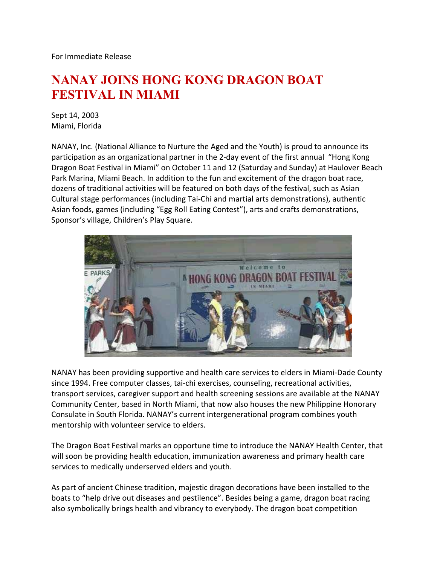For Immediate Release

## **NANAY JOINS HONG KONG DRAGON BOAT FESTIVAL IN MIAMI**

Sept 14, 2003 Miami, Florida

NANAY, Inc. (National Alliance to Nurture the Aged and the Youth) is proud to announce its participation as an organizational partner in the 2-day event of the first annual "Hong Kong Dragon Boat Festival in Miami" on October 11 and 12 (Saturday and Sunday) at Haulover Beach Park Marina, Miami Beach. In addition to the fun and excitement of the dragon boat race, dozens of traditional activities will be featured on both days of the festival, such as Asian Cultural stage performances (including Tai-Chi and martial arts demonstrations), authentic Asian foods, games (including "Egg Roll Eating Contest"), arts and crafts demonstrations, Sponsor's village, Children's Play Square.



NANAY has been providing supportive and health care services to elders in Miami-Dade County since 1994. Free computer classes, tai-chi exercises, counseling, recreational activities, transport services, caregiver support and health screening sessions are available at the NANAY Community Center, based in North Miami, that now also houses the new Philippine Honorary Consulate in South Florida. NANAY's current intergenerational program combines youth mentorship with volunteer service to elders.

The Dragon Boat Festival marks an opportune time to introduce the NANAY Health Center, that will soon be providing health education, immunization awareness and primary health care services to medically underserved elders and youth.

As part of ancient Chinese tradition, majestic dragon decorations have been installed to the boats to "help drive out diseases and pestilence". Besides being a game, dragon boat racing also symbolically brings health and vibrancy to everybody. The dragon boat competition